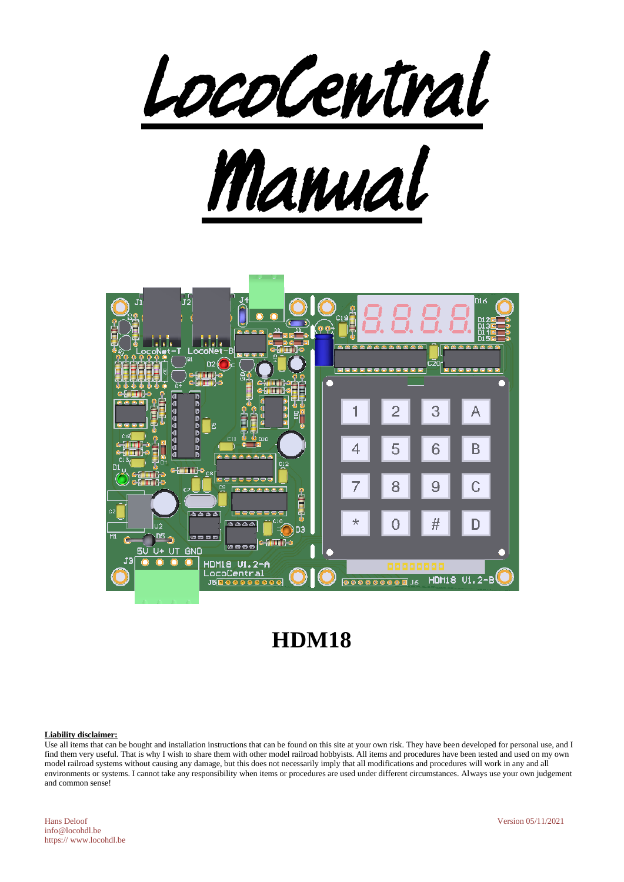



# **HDM18**

#### **Liability disclaimer:**

Use all items that can be bought and installation instructions that can be found on this site at your own risk. They have been developed for personal use, and I find them very useful. That is why I wish to share them with other model railroad hobbyists. All items and procedures have been tested and used on my own model railroad systems without causing any damage, but this does not necessarily imply that all modifications and procedures will work in any and all environments or systems. I cannot take any responsibility when items or procedures are used under different circumstances. Always use your own judgement and common sense!

Hans Deloof Version 05/11/2021 info@locohdl.be https:// www.locohdl.be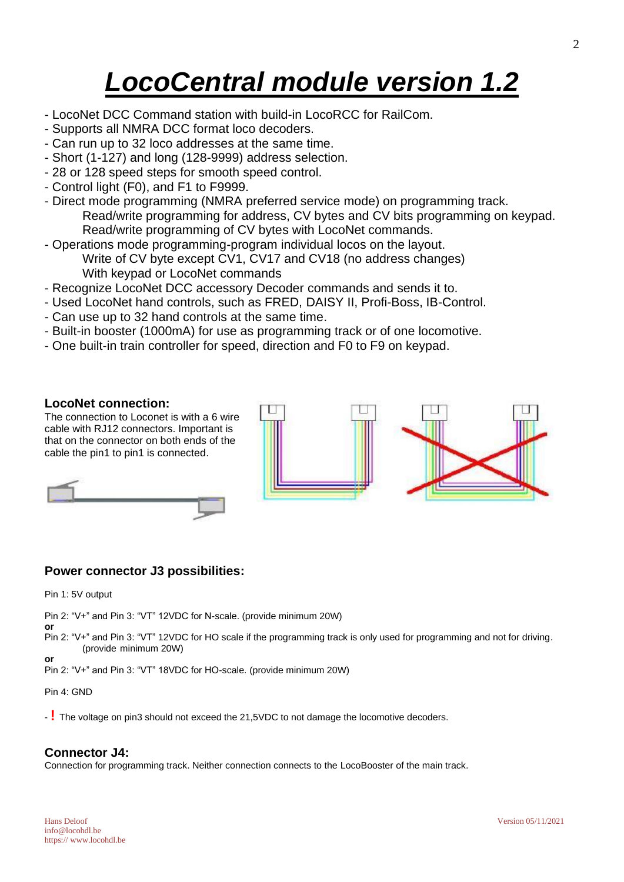# *LocoCentral module version 1.2*

- LocoNet DCC Command station with build-in LocoRCC for RailCom.
- Supports all NMRA DCC format loco decoders.
- Can run up to 32 loco addresses at the same time.
- Short (1-127) and long (128-9999) address selection.
- 28 or 128 speed steps for smooth speed control.
- Control light (F0), and F1 to F9999.
- Direct mode programming (NMRA preferred service mode) on programming track. Read/write programming for address, CV bytes and CV bits programming on keypad. Read/write programming of CV bytes with LocoNet commands.
- Operations mode programming-program individual locos on the layout. Write of CV byte except CV1, CV17 and CV18 (no address changes) With keypad or LocoNet commands
- Recognize LocoNet DCC accessory Decoder commands and sends it to.
- Used LocoNet hand controls, such as FRED, DAISY II, Profi-Boss, IB-Control.
- Can use up to 32 hand controls at the same time.
- Built-in booster (1000mA) for use as programming track or of one locomotive.
- One built-in train controller for speed, direction and F0 to F9 on keypad.

## **LocoNet connection:**

The connection to Loconet is with a 6 wire cable with RJ12 connectors. Important is that on the connector on both ends of the cable the pin1 to pin1 is connected.





# **Power connector J3 possibilities:**

Pin 1: 5V output

Pin 2: "V+" and Pin 3: "VT" 12VDC for N-scale. (provide minimum 20W)

**or**

**or**

Pin 2: "V+" and Pin 3: "VT" 12VDC for HO scale if the programming track is only used for programming and not for driving. (provide minimum 20W)

Pin 2: "V+" and Pin 3: "VT" 18VDC for HO-scale. (provide minimum 20W)

#### Pin 4: GND

- **!** The voltage on pin3 should not exceed the 21,5VDC to not damage the locomotive decoders.

# **Connector J4:**

Connection for programming track. Neither connection connects to the LocoBooster of the main track.

info@locohdl.be https:// www.locohdl.be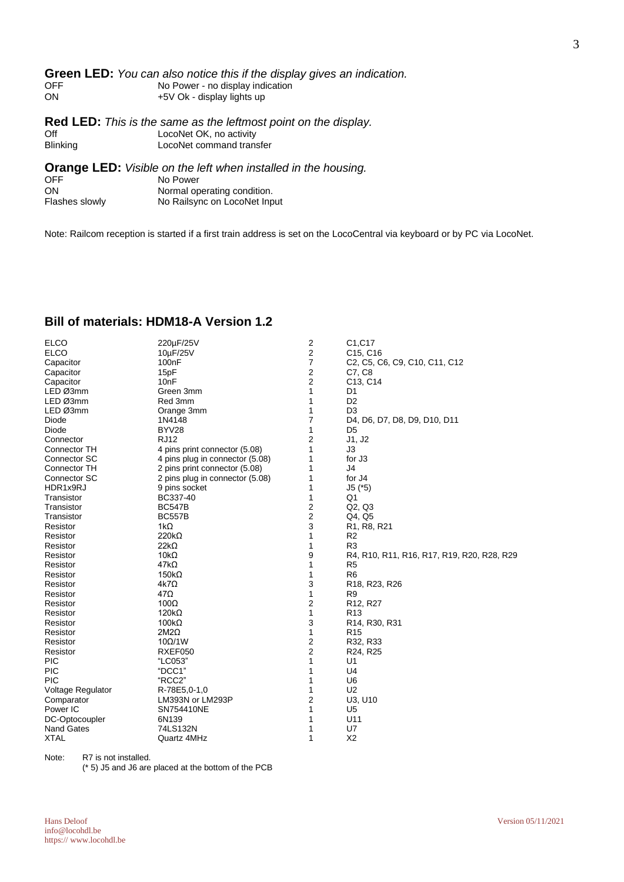#### **Green LED:** *You can also notice this if the display gives an indication.*<br>OFF No Power - no display indication OFF No Power - no display indication<br>
ON +5V Ok - display lights up +5V Ok - display lights up

**Red LED:** *This is the same as the leftmost point on the display.* Off LocoNet OK, no activity<br>Blinking LocoNet command trans LocoNet command transfer

**Orange LED:** *Visible on the left when installed in the housing.*

| <b>OFF</b>     | No Power                     |
|----------------|------------------------------|
| ON             | Normal operating condition.  |
| Flashes slowly | No Railsync on LocoNet Input |

Note: Railcom reception is started if a first train address is set on the LocoCentral via keyboard or by PC via LocoNet.

| <b>ELCO</b>              | 220µF/25V                       | $\overline{\mathbf{c}}$ | C1, C17                                             |
|--------------------------|---------------------------------|-------------------------|-----------------------------------------------------|
| <b>ELCO</b>              | 10µF/25V                        | $\overline{2}$          | C <sub>15</sub> , C <sub>16</sub>                   |
| Capacitor                | 100 <sub>n</sub> F              | $\overline{7}$          | C2, C5, C6, C9, C10, C11, C12                       |
| Capacitor                | 15pF                            | 2                       | C7, C8                                              |
| Capacitor                | 10 <sub>nF</sub>                | $\overline{2}$          | C13, C14                                            |
| LED Ø3mm                 | Green 3mm                       | 1                       | D <sub>1</sub>                                      |
| LED Ø3mm                 | Red 3mm                         | 1                       | D <sub>2</sub>                                      |
| LED Ø3mm                 | Orange 3mm                      | 1                       | D <sub>3</sub>                                      |
| Diode                    | 1N4148                          | $\overline{7}$          | D4, D6, D7, D8, D9, D10, D11                        |
| Diode                    | BYV28                           | 1                       | D <sub>5</sub>                                      |
| Connector                | <b>RJ12</b>                     | $\overline{2}$          | J1, J2                                              |
| Connector TH             | 4 pins print connector (5.08)   | 1                       | J3                                                  |
| Connector SC             | 4 pins plug in connector (5.08) | 1                       | for J <sub>3</sub>                                  |
| Connector TH             | 2 pins print connector (5.08)   | 1                       | J4                                                  |
| Connector SC             | 2 pins plug in connector (5.08) | 1                       | for J4                                              |
| HDR1x9RJ                 | 9 pins socket                   | 1                       | $J5$ ( $*5$ )                                       |
| Transistor               | BC337-40                        | 1                       | Q1                                                  |
| Transistor               | <b>BC547B</b>                   | 2                       | Q2, Q3                                              |
| Transistor               | <b>BC557B</b>                   | $\overline{c}$          | Q4, Q5                                              |
| Resistor                 | 1 $k\Omega$                     | 3                       | R <sub>1</sub> , R <sub>8</sub> , R <sub>21</sub>   |
| Resistor                 | $220k\Omega$                    | 1                       | R <sub>2</sub>                                      |
| Resistor                 | $22k\Omega$                     | 1                       | R <sub>3</sub>                                      |
| Resistor                 | $10k\Omega$                     | 9                       | R4, R10, R11, R16, R17, R19, R20, R28, R29          |
| Resistor                 | $47k\Omega$                     | 1                       | R <sub>5</sub>                                      |
| Resistor                 | $150k\Omega$                    | 1                       | R <sub>6</sub>                                      |
| Resistor                 | 4k7Ω                            | 3                       | R <sub>18</sub> , R <sub>23</sub> , R <sub>26</sub> |
| Resistor                 | $47\Omega$                      | 1                       | R <sub>9</sub>                                      |
| Resistor                 | $100\Omega$                     | $\overline{2}$          | R12, R27                                            |
| Resistor                 | $120k\Omega$                    | 1                       | R <sub>13</sub>                                     |
| Resistor                 | $100k\Omega$                    | 3                       | R <sub>14</sub> , R <sub>30</sub> , R <sub>31</sub> |
| Resistor                 | $2M2\Omega$                     | $\mathbf{1}$            | R <sub>15</sub>                                     |
| Resistor                 | $10\Omega/1W$                   | 2                       | R32, R33                                            |
| Resistor                 | RXEF050                         | $\overline{2}$          | R24, R25                                            |
| <b>PIC</b>               | "LC053"                         | 1                       | U <sub>1</sub>                                      |
| <b>PIC</b>               | "DCC1"                          | 1                       | U <sub>4</sub>                                      |
| PIC                      | "RCC2"                          | 1                       | U <sub>6</sub>                                      |
| <b>Voltage Regulator</b> | R-78E5,0-1,0                    | 1                       | U <sub>2</sub>                                      |
| Comparator               | LM393N or LM293P                | 2                       | U3, U10                                             |
| Power IC                 | SN754410NE                      | 1                       | U <sub>5</sub>                                      |
| DC-Optocoupler           | 6N139                           | 1                       | U11                                                 |
| <b>Nand Gates</b>        | 74LS132N                        | 1                       | U7                                                  |
| <b>XTAL</b>              | Quartz 4MHz                     | 1                       | X <sub>2</sub>                                      |

# **Bill of materials: HDM18-A Version 1.2**

Note: R7 is not installed.

(\* 5) J5 and J6 are placed at the bottom of the PCB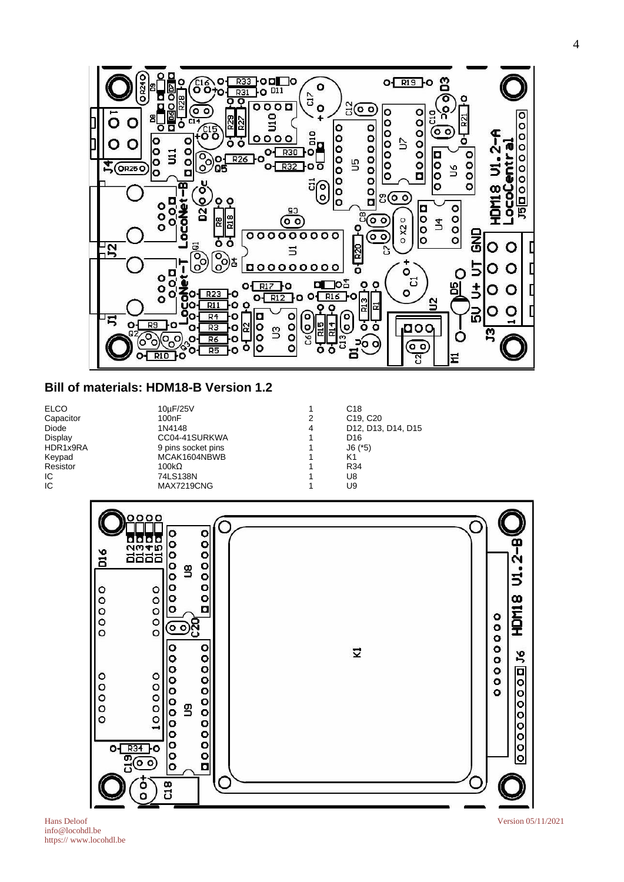

# **Bill of materials: HDM18-B Version 1.2**

ELCO 10μF/25V 1 C18<br>Capacitor 100nF 100nF 2 C19, C20 Capacitor 100nF 2<br>Diode 1N4148 4 Display CC04-41SURKWA 1 D16 HDR1x9RA 9 pins socket pins 1 J6 (\*5) Key Article (1999)<br>MCAK1604NBWB 1 K1<br>100kΩ 1 R34  $Resistor$  100kΩ 100kΩ 100kΩ IC 74LS138N 1 U8<br>IC MAX7219CNG 1 U9 **MAX7219CNG** 1

Diode 1N4148 4 D12, D13, D14, D15



Hans Deloof Version 05/11/2021 info@locohdl.be https:// www.locohdl.be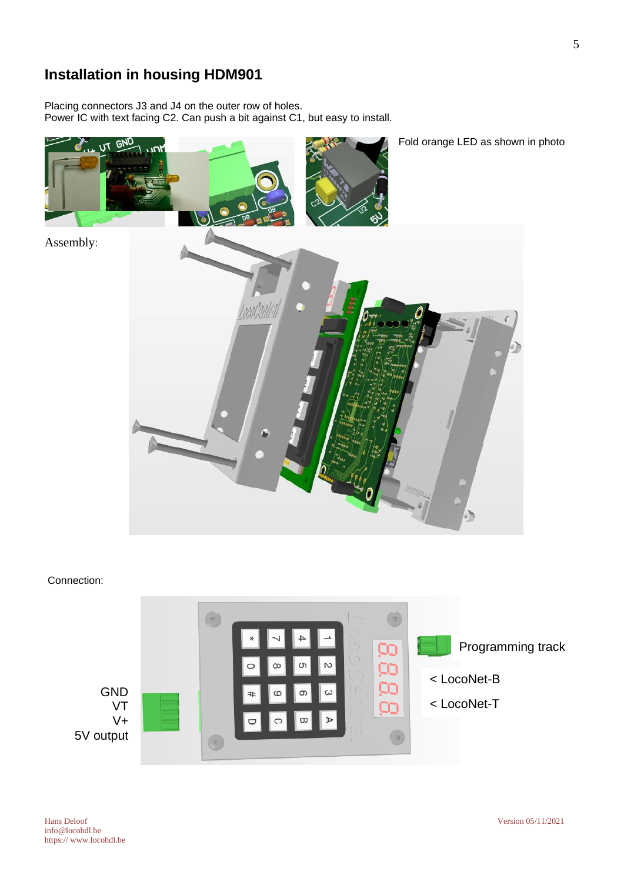# **Installation in housing HDM901**

Placing connectors J3 and J4 on the outer row of holes. Power IC with text facing C2. Can push a bit against C1, but easy to install.



## Connection:



5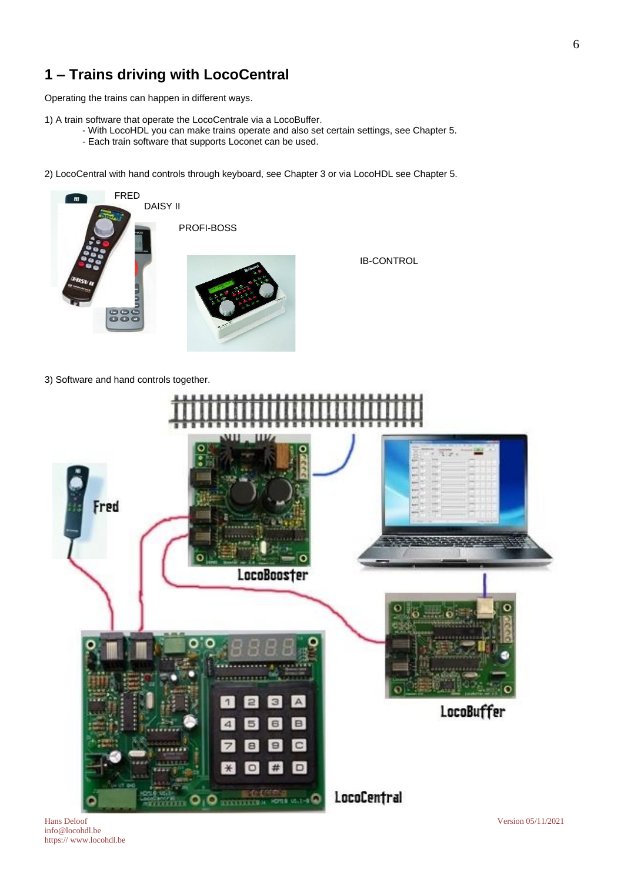# **1 – Trains driving with LocoCentral**

Operating the trains can happen in different ways.

1) A train software that operate the LocoCentrale via a LocoBuffer.

- With LocoHDL you can make trains operate and also set certain settings, see Chapter 5.
- Each train software that supports Loconet can be used.

2) LocoCentral with hand controls through keyboard, see Chapter 3 or via LocoHDL see Chapter 5.



IB-CONTROL

3) Software and hand controls together.



info@locohdl.be https:// www.locohdl.be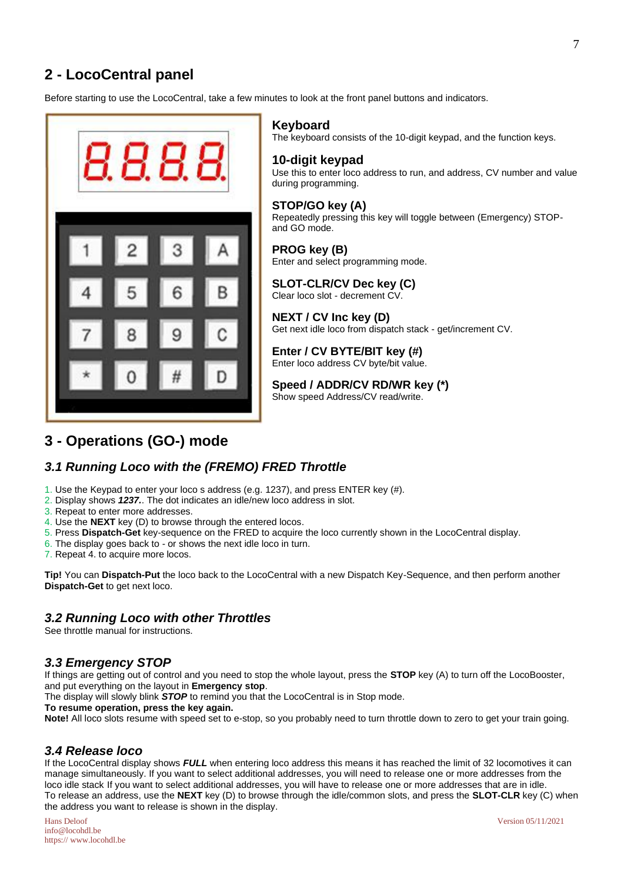# **2 - LocoCentral panel**

Before starting to use the LocoCentral, take a few minutes to look at the front panel buttons and indicators.



## **Keyboard**

The keyboard consists of the 10-digit keypad, and the function keys.

#### **10-digit keypad**

Use this to enter loco address to run, and address, CV number and value during programming.

#### **STOP/GO key (A)**

Repeatedly pressing this key will toggle between (Emergency) STOPand GO mode.

**PROG key (B)** Enter and select programming mode.

#### **SLOT-CLR/CV Dec key (C)**  Clear loco slot - decrement CV.

**NEXT / CV Inc key (D)** Get next idle loco from dispatch stack - get/increment CV.

**Enter / CV BYTE/BIT key (#)** Enter loco address CV byte/bit value.

# **Speed / ADDR/CV RD/WR key (\*)**

Show speed Address/CV read/write.

# **3 - Operations (GO-) mode**

# *3.1 Running Loco with the (FREMO) FRED Throttle*

- 1. Use the Keypad to enter your loco s address (e.g. 1237), and press ENTER key (#).
- 2. Display shows *1237.*. The dot indicates an idle/new loco address in slot.
- 3. Repeat to enter more addresses.
- 4. Use the **NEXT** key (D) to browse through the entered locos.
- 5. Press **Dispatch-Get** key-sequence on the FRED to acquire the loco currently shown in the LocoCentral display.
- 6. The display goes back to or shows the next idle loco in turn.
- 7. Repeat 4. to acquire more locos.

**Tip!** You can **Dispatch-Put** the loco back to the LocoCentral with a new Dispatch Key-Sequence, and then perform another **Dispatch-Get** to get next loco.

# *3.2 Running Loco with other Throttles*

See throttle manual for instructions.

## *3.3 Emergency STOP*

If things are getting out of control and you need to stop the whole layout, press the **STOP** key (A) to turn off the LocoBooster, and put everything on the layout in **Emergency stop**.

The display will slowly blink *STOP* to remind you that the LocoCentral is in Stop mode.

**To resume operation, press the key again.**

**Note!** All loco slots resume with speed set to e-stop, so you probably need to turn throttle down to zero to get your train going.

# *3.4 Release loco*

If the LocoCentral display shows *FULL* when entering loco address this means it has reached the limit of 32 locomotives it can manage simultaneously. If you want to select additional addresses, you will need to release one or more addresses from the loco idle stack If you want to select additional addresses, you will have to release one or more addresses that are in idle. To release an address, use the **NEXT** key (D) to browse through the idle/common slots, and press the **SLOT-CLR** key (C) when the address you want to release is shown in the display.

Hans Deloof Version 05/11/2021 info@locohdl.be https:// www.locohdl.be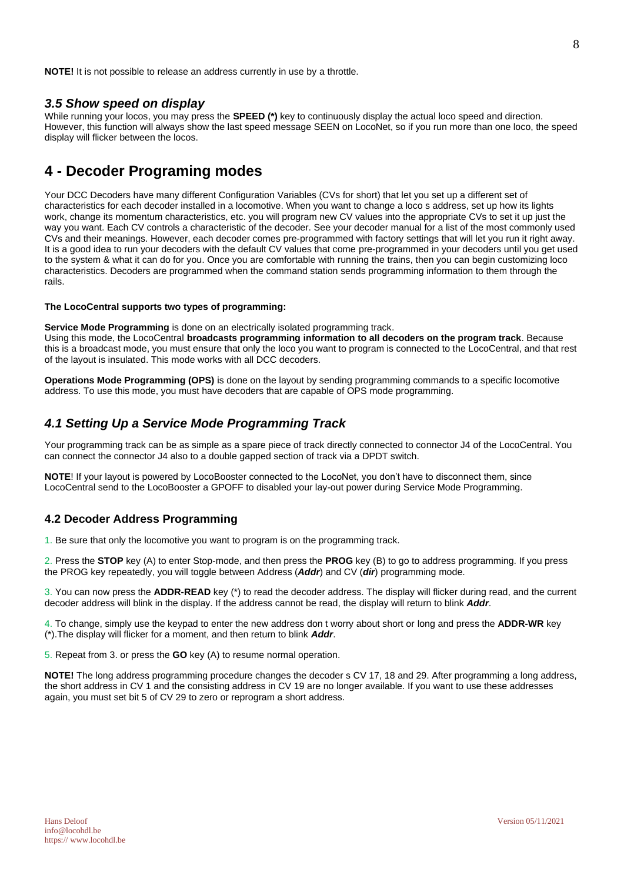**NOTE!** It is not possible to release an address currently in use by a throttle.

#### *3.5 Show speed on display*

While running your locos, you may press the **SPEED (\*)** key to continuously display the actual loco speed and direction. However, this function will always show the last speed message SEEN on LocoNet, so if you run more than one loco, the speed display will flicker between the locos.

# **4 - Decoder Programing modes**

Your DCC Decoders have many different Configuration Variables (CVs for short) that let you set up a different set of characteristics for each decoder installed in a locomotive. When you want to change a loco s address, set up how its lights work, change its momentum characteristics, etc. you will program new CV values into the appropriate CVs to set it up just the way you want. Each CV controls a characteristic of the decoder. See your decoder manual for a list of the most commonly used CVs and their meanings. However, each decoder comes pre-programmed with factory settings that will let you run it right away. It is a good idea to run your decoders with the default CV values that come pre-programmed in your decoders until you get used to the system & what it can do for you. Once you are comfortable with running the trains, then you can begin customizing loco characteristics. Decoders are programmed when the command station sends programming information to them through the rails.

#### **The LocoCentral supports two types of programming:**

**Service Mode Programming** is done on an electrically isolated programming track.

Using this mode, the LocoCentral **broadcasts programming information to all decoders on the program track**. Because this is a broadcast mode, you must ensure that only the loco you want to program is connected to the LocoCentral, and that rest of the layout is insulated. This mode works with all DCC decoders.

**Operations Mode Programming (OPS)** is done on the layout by sending programming commands to a specific locomotive address. To use this mode, you must have decoders that are capable of OPS mode programming.

## *4.1 Setting Up a Service Mode Programming Track*

Your programming track can be as simple as a spare piece of track directly connected to connector J4 of the LocoCentral. You can connect the connector J4 also to a double gapped section of track via a DPDT switch.

**NOTE**! If your layout is powered by LocoBooster connected to the LocoNet, you don't have to disconnect them, since LocoCentral send to the LocoBooster a GPOFF to disabled your lay-out power during Service Mode Programming.

#### **4.2 Decoder Address Programming**

1. Be sure that only the locomotive you want to program is on the programming track.

2. Press the **STOP** key (A) to enter Stop-mode, and then press the **PROG** key (B) to go to address programming. If you press the PROG key repeatedly, you will toggle between Address (*Addr*) and CV (*dir*) programming mode.

3. You can now press the **ADDR-READ** key (\*) to read the decoder address. The display will flicker during read, and the current decoder address will blink in the display. If the address cannot be read, the display will return to blink *Addr*.

4. To change, simply use the keypad to enter the new address don t worry about short or long and press the **ADDR-WR** key (\*).The display will flicker for a moment, and then return to blink *Addr*.

5. Repeat from 3. or press the **GO** key (A) to resume normal operation.

**NOTE!** The long address programming procedure changes the decoder s CV 17, 18 and 29. After programming a long address, the short address in CV 1 and the consisting address in CV 19 are no longer available. If you want to use these addresses again, you must set bit 5 of CV 29 to zero or reprogram a short address.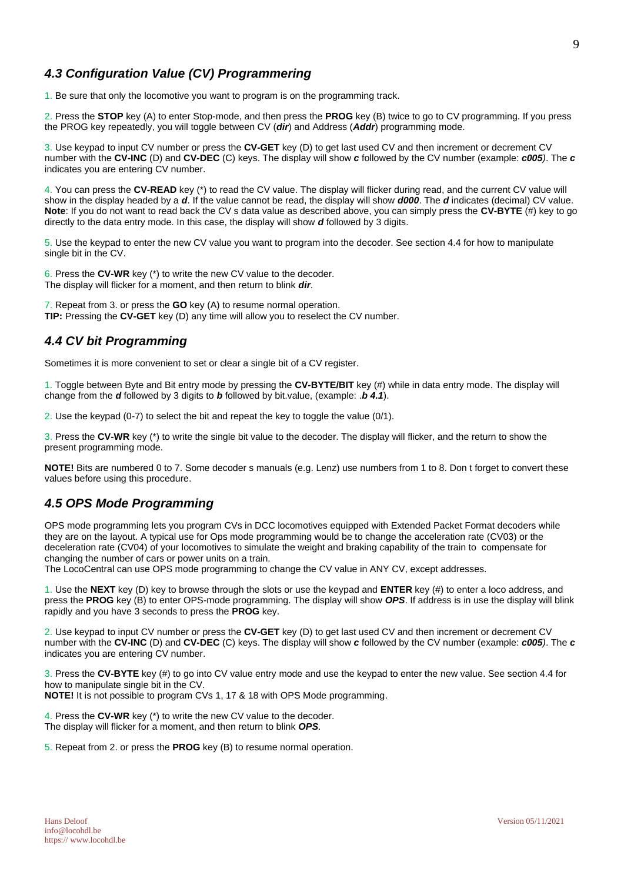# *4.3 Configuration Value (CV) Programmering*

1. Be sure that only the locomotive you want to program is on the programming track.

2. Press the **STOP** key (A) to enter Stop-mode, and then press the **PROG** key (B) twice to go to CV programming. If you press the PROG key repeatedly, you will toggle between CV (*dir*) and Address (*Addr*) programming mode.

3. Use keypad to input CV number or press the **CV-GET** key (D) to get last used CV and then increment or decrement CV number with the **CV-INC** (D) and **CV-DEC** (C) keys. The display will show *c* followed by the CV number (example: *c005)*. The *c* indicates you are entering CV number.

4. You can press the **CV-READ** key (\*) to read the CV value. The display will flicker during read, and the current CV value will show in the display headed by a *d*. If the value cannot be read, the display will show *d000*. The *d* indicates (decimal) CV value. **Note**: If you do not want to read back the CV s data value as described above, you can simply press the **CV-BYTE** (#) key to go directly to the data entry mode. In this case, the display will show *d* followed by 3 digits.

5. Use the keypad to enter the new CV value you want to program into the decoder. See section 4.4 for how to manipulate single bit in the CV.

6. Press the **CV-WR** key (\*) to write the new CV value to the decoder. The display will flicker for a moment, and then return to blink *dir*.

7. Repeat from 3. or press the **GO** key (A) to resume normal operation. **TIP:** Pressing the **CV-GET** key (D) any time will allow you to reselect the CV number.

# *4.4 CV bit Programming*

Sometimes it is more convenient to set or clear a single bit of a CV register.

1. Toggle between Byte and Bit entry mode by pressing the **CV-BYTE/BIT** key (#) while in data entry mode. The display will change from the *d* followed by 3 digits to *b* followed by bit.value, (example: .*b 4.1*).

2. Use the keypad (0-7) to select the bit and repeat the key to toggle the value (0/1).

3. Press the **CV-WR** key (\*) to write the single bit value to the decoder. The display will flicker, and the return to show the present programming mode.

**NOTE!** Bits are numbered 0 to 7. Some decoder s manuals (e.g. Lenz) use numbers from 1 to 8. Don t forget to convert these values before using this procedure.

# *4.5 OPS Mode Programming*

OPS mode programming lets you program CVs in DCC locomotives equipped with Extended Packet Format decoders while they are on the layout. A typical use for Ops mode programming would be to change the acceleration rate (CV03) or the deceleration rate (CV04) of your locomotives to simulate the weight and braking capability of the train to compensate for changing the number of cars or power units on a train.

The LocoCentral can use OPS mode programming to change the CV value in ANY CV, except addresses.

1. Use the **NEXT** key (D) key to browse through the slots or use the keypad and **ENTER** key (#) to enter a loco address, and press the **PROG** key (B) to enter OPS-mode programming. The display will show *OPS*. If address is in use the display will blink rapidly and you have 3 seconds to press the **PROG** key.

2. Use keypad to input CV number or press the **CV-GET** key (D) to get last used CV and then increment or decrement CV number with the **CV-INC** (D) and **CV-DEC** (C) keys. The display will show *c* followed by the CV number (example: *c005)*. The *c* indicates you are entering CV number.

3. Press the **CV-BYTE** key (#) to go into CV value entry mode and use the keypad to enter the new value. See section 4.4 for how to manipulate single bit in the CV.

**NOTE!** It is not possible to program CVs 1, 17 & 18 with OPS Mode programming.

4. Press the **CV-WR** key (\*) to write the new CV value to the decoder. The display will flicker for a moment, and then return to blink *OPS*.

5. Repeat from 2. or press the **PROG** key (B) to resume normal operation.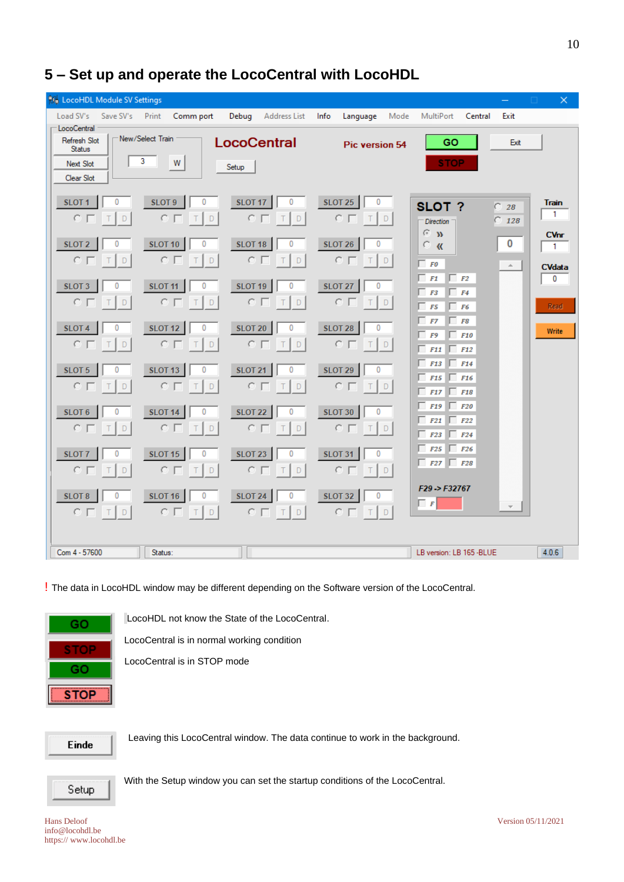| <b>NH</b> LocoHDL Module SV Settings                                    |                                                 |                                                        |                                                       |                                                                                  | $\times$<br>0                                |
|-------------------------------------------------------------------------|-------------------------------------------------|--------------------------------------------------------|-------------------------------------------------------|----------------------------------------------------------------------------------|----------------------------------------------|
| Load SV's<br>Save SV's                                                  | Print<br>Comm port                              | Debug<br>Address List                                  | Info<br>Language<br>Mode                              | MultiPort<br>Central<br>Exit                                                     |                                              |
| LocoCentral<br>Refresh Slot<br><b>Status</b><br>Next Slot<br>Clear Slot | New/Select Train<br>3<br>W                      | <b>LocoCentral</b><br>Setup                            | <b>Pic version 54</b>                                 | GO<br>Exit<br><b>STOP</b>                                                        |                                              |
| SLOT <sub>1</sub><br>0<br>$C \Box$<br>D<br>т                            | SLOT <sub>9</sub><br>0<br>$C \Gamma$<br>D<br>т  | <b>SLOT 17</b><br>0<br>$C \Box$<br>D                   | <b>SLOT 25</b><br>0<br>$\circ$ $\sqcap$<br>Τ<br>D     | SLOT?<br>C.<br>28<br>$\degree$ 128<br><b>Direction</b><br>G.<br>$\mathbf{w}$     | Train<br>$\mathbf{1}$                        |
| SLOT <sub>2</sub><br>0<br>$C \Gamma$<br>D<br>т                          | <b>SLOT 10</b><br>0<br>$C \Gamma$<br>D<br>т     | 0<br>SLOT <sub>18</sub><br>$\subset \Box$<br>D         | 0<br>SLOT <sub>26</sub><br>$C \Gamma$<br>T<br>D       | 0<br>o<br>$\alpha$<br>$\Box$ FO<br>$\Delta \omega$                               | <b>CVnr</b><br>$\mathbf{1}$<br><b>CVdata</b> |
| SLOT <sub>3</sub><br>0<br>$C \Box$<br>D<br>т                            | <b>SLOT 11</b><br>0<br>$C \Box$<br>D<br>T       | <b>SLOT 19</b><br>0<br>cг<br>D<br>T                    | <b>SLOT 27</b><br>0<br>$C \Gamma$<br>$\top$<br>$\Box$ | $\Box$ F1<br>$\Box$ F2<br>F3<br>$\Box$ F4<br>$\Box$ F5<br>F6                     | 0<br><b>Read</b>                             |
| SLOT <sub>4</sub><br>0<br>$C \Box$<br>D<br>т                            | <b>SLOT 12</b><br>0<br>$C \Box$<br>D<br>Τ       | <b>SLOT 20</b><br>0<br>$C \Box$<br>D<br>Τ              | <b>SLOT 28</b><br>0<br>$C \Gamma$<br>T<br>D           | $\Box$ F7<br>$\Box$ F8<br>F9<br>$\Box$ F10<br><b>F11</b><br>$\Box$ F12           | Write                                        |
| SLOT <sub>5</sub><br>0<br>$C \Gamma$<br>$\mathsf{D}%$                   | 0<br><b>SLOT 13</b><br>$C \Gamma$<br>D<br>Τ     | <b>SLOT 21</b><br>0<br>$C \Gamma$<br>$\mathsf{D}$<br>Τ | <b>SLOT 29</b><br>0<br>$C \Gamma$<br>T<br>$\Box$      | $\Box$ F14<br><b>F13</b><br><b>F15</b><br>$\Box$ F16<br><b>F17</b><br>$\Box$ F18 |                                              |
| SLOT <sub>6</sub><br>0<br>$C \Box$<br>D<br>Τ                            | <b>SLOT 14</b><br>0<br>$C \Box$<br>D<br>T       | <b>SLOT 22</b><br>0<br>$C \Box$<br>D<br>т              | <b>SLOT 30</b><br>0<br>$C \Box$<br>T<br>D             | F <sub>19</sub><br>$\Box$ F20<br>$\Box$ F22<br>F21<br>$F23$ $F24$                |                                              |
| SLOT <sub>7</sub><br>0<br>$C \Gamma$<br>D<br>Т                          | 0<br><b>SLOT 15</b><br>$C \Gamma$<br>D<br>т     | <b>SLOT 23</b><br>0<br>$C \Gamma$<br>D<br>Τ            | 0<br><b>SLOT 31</b><br>$C \Gamma$<br>T<br>D           | F25<br>$\Box$ F26<br>$F27$ $F28$                                                 |                                              |
| SLOT <sub>8</sub><br>0<br>$C \Gamma$<br>D                               | SLOT <sub>16</sub><br>0<br>$C \Gamma$<br>D<br>т | 0<br><b>SLOT 24</b><br>$C \Gamma$<br>D<br>Т            | <b>SLOT 32</b><br>0<br>$C \Gamma$<br>D<br>Т           | $F29 - F32767$<br>$\Box$ $F$                                                     |                                              |
| Com 4 - 57600                                                           | Status:                                         |                                                        |                                                       | LB version: LB 165 -BLUE                                                         | 4.0.6                                        |

# **5 – Set up and operate the LocoCentral with LocoHDL**

! The data in LocoHDL window may be different depending on the Software version of the LocoCentral.



LocoHDL not know the State of the LocoCentral.

LocoCentral is in normal working condition

LocoCentral is in STOP mode

Einde

Leaving this LocoCentral window. The data continue to work in the background.



With the Setup window you can set the startup conditions of the LocoCentral.

info@locohdl.be https:// www.locohdl.be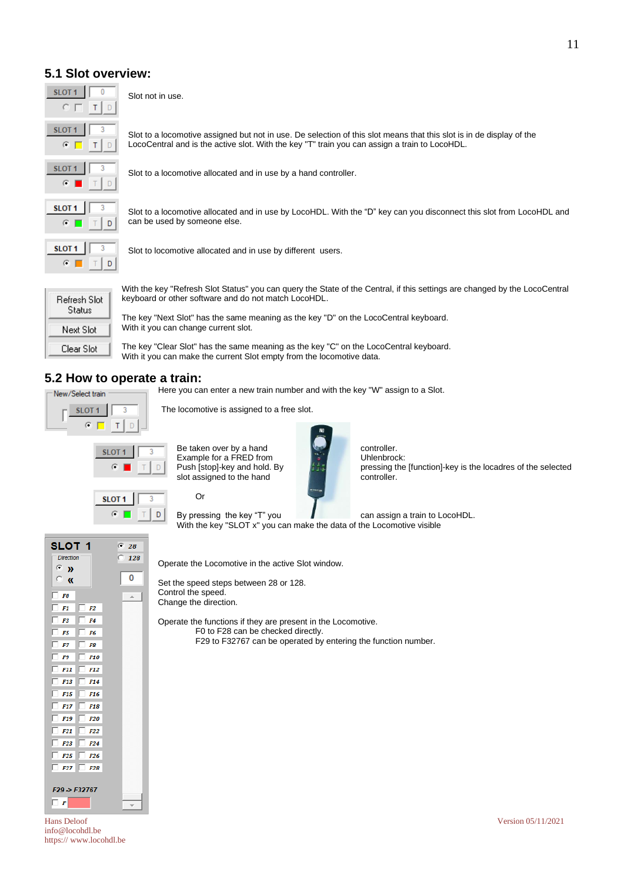# **5.1 Slot overview:**



Slot not in use.

Slot to a locomotive assigned but not in use. De selection of this slot means that this slot is in de display of the LocoCentral and is the active slot. With the key "T" train you can assign a train to LocoHDL.

Slot to a locomotive allocated and in use by a hand controller.

Slot to a locomotive allocated and in use by LocoHDL. With the "D" key can you disconnect this slot from LocoHDL and can be used by someone else.



Slot to locomotive allocated and in use by different users.

The locomotive is assigned to a free slot.

| Refresh Slot<br>Status |  |
|------------------------|--|
| Next Slot              |  |
| Clear Slot             |  |

SLOT<sub>1</sub>

 $F1$   $F2$  $F3$   $F4$  $\Box$  F5  $\Box$  F6  $\Box$  F7  $\Box$  F8  $\Box$  F9  $\Box$  F10  $\Box$  F11  $\Box$ 

 $F13$ 

 $F15$ 

 $F17$ 

 $F19$ 

 $F21$  $F22$  $F23$   $F24$  $F25$   $F26$  $\Box$  F27  $\Box$  F28

F29->F32767

 $\Box$  F

 $F12$ 

F<sub>14</sub>

F<sub>16</sub>

F<sub>18</sub>

 $F20$ 

**Direction** 

œ.  $\mathbf{v}$ 

 $\subset$  $\overline{\mathbf{K}}$ **FO** г

With the key "Refresh Slot Status" you can query the State of the Central, if this settings are changed by the LocoCentral keyboard or other software and do not match LocoHDL.

The key "Next Slot" has the same meaning as the key "D" on the LocoCentral keyboard. With it you can change current slot.

The key "Clear Slot" has the same meaning as the key "C" on the LocoCentral keyboard. With it you can make the current Slot empty from the locomotive data.

# **5.2 How to operate a train:**

| New/Select train |  |  |
|------------------|--|--|
| m                |  |  |
|                  |  |  |

Here you can enter a new train number and with the key "W" assign to a Slot.

 $SLOT 1$   $3$  Be taken over by a hand controller. Example for a FRED from  $\begin{bmatrix} 1 & 0 \\ 0 & 1 \end{bmatrix}$  D Push [stop]-key and hold. By  $\begin{bmatrix} 1 & 0 \\ 0 & 1 \end{bmatrix}$  pressing the slot assigned to the hand



pressing the [function]-key is the locadres of the selected controller.



 $G$  28

128

 $\overline{0}$ 

Or

By pressing the key "T" you **can assign a train to LocoHDL**. With the key "SLOT x" you can make the data of the Locomotive visible

Operate the Locomotive in the active Slot window.

Set the speed steps between 28 or 128. Control the speed. Change the direction.

Operate the functions if they are present in the Locomotive. F0 to F28 can be checked directly. F29 to F32767 can be operated by entering the function number.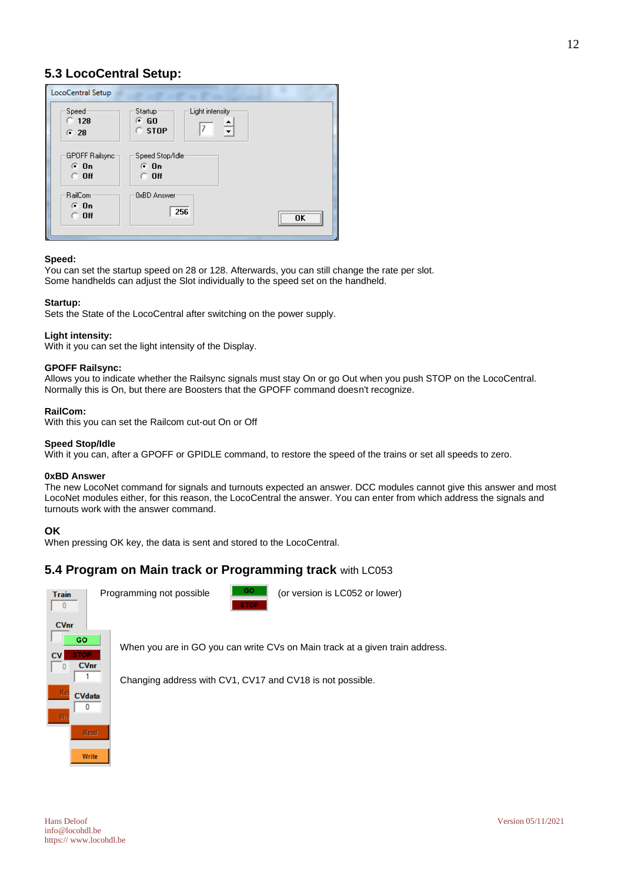| LocoCentral Setup                          |                                                                                |  |
|--------------------------------------------|--------------------------------------------------------------------------------|--|
| Speed<br>$\degree$ 128<br>G28              | Light intensity<br>Startup-<br>⊕ GO<br>7<br>$\circ$ stop                       |  |
| GPOFF Railsync=<br>$G$ On<br>$\degree$ Off | Speed Stop/Idle<br>$G$ On<br>$\circ$ off                                       |  |
| RailCom<br>$G$ On<br>$\cap$ Off            | <b>OxBD Answer</b><br>256<br>,,,,,,,,,,,,,,,,,,,,,,,,,,,,,,,<br>ΠK<br><u>\</u> |  |

#### **Speed:**

You can set the startup speed on 28 or 128. Afterwards, you can still change the rate per slot. Some handhelds can adjust the Slot individually to the speed set on the handheld.

#### **Startup:**

Sets the State of the LocoCentral after switching on the power supply.

#### **Light intensity:**

With it you can set the light intensity of the Display.

#### **GPOFF Railsync:**

Allows you to indicate whether the Railsync signals must stay On or go Out when you push STOP on the LocoCentral. Normally this is On, but there are Boosters that the GPOFF command doesn't recognize.

#### **RailCom:**

With this you can set the Railcom cut-out On or Off

#### **Speed Stop/Idle**

With it you can, after a GPOFF or GPIDLE command, to restore the speed of the trains or set all speeds to zero.

#### **0xBD Answer**

The new LocoNet command for signals and turnouts expected an answer. DCC modules cannot give this answer and most LocoNet modules either, for this reason, the LocoCentral the answer. You can enter from which address the signals and turnouts work with the answer command.

#### **OK**

When pressing OK key, the data is sent and stored to the LocoCentral.

## **5.4 Program on Main track or Programming track** with LC053



When you are in GO you can write CVs on Main track at a given train address.

Changing address with CV1, CV17 and CV18 is not possible.